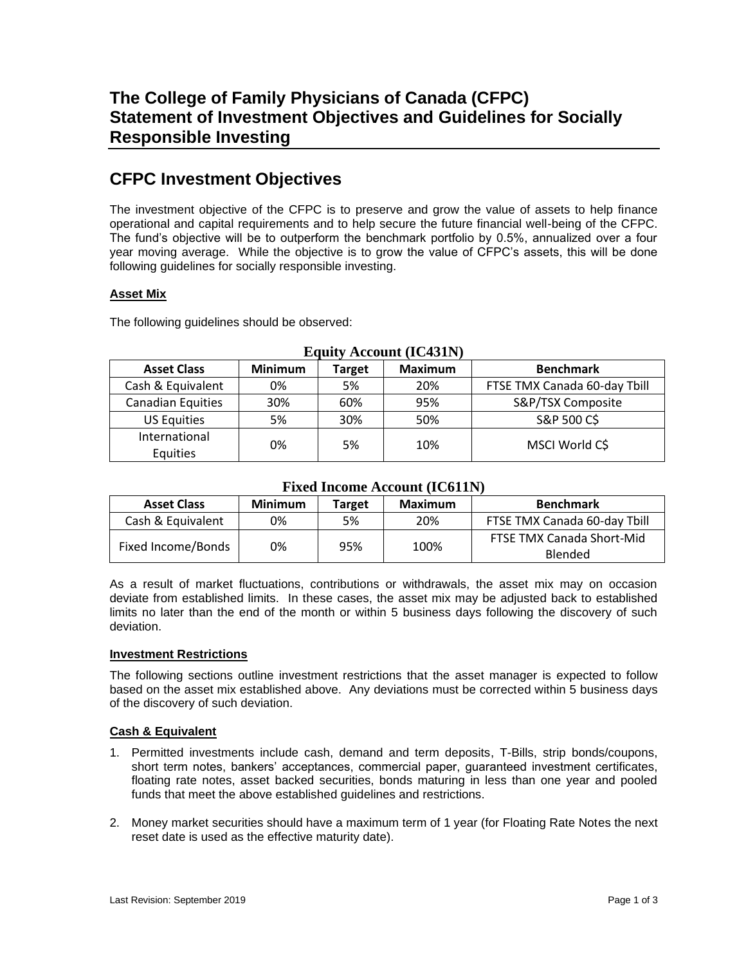# **CFPC Investment Objectives**

The investment objective of the CFPC is to preserve and grow the value of assets to help finance operational and capital requirements and to help secure the future financial well-being of the CFPC. The fund's objective will be to outperform the benchmark portfolio by 0.5%, annualized over a four year moving average. While the objective is to grow the value of CFPC's assets, this will be done following guidelines for socially responsible investing.

## **Asset Mix**

The following guidelines should be observed:

| Equity Account (ICT311)   |                |               |                |                              |  |  |  |
|---------------------------|----------------|---------------|----------------|------------------------------|--|--|--|
| <b>Asset Class</b>        | <b>Minimum</b> | <b>Target</b> | <b>Maximum</b> | <b>Benchmark</b>             |  |  |  |
| Cash & Equivalent         | 0%             | 5%            | 20%            | FTSE TMX Canada 60-day Tbill |  |  |  |
| <b>Canadian Equities</b>  | 30%            | 60%           | 95%            | S&P/TSX Composite            |  |  |  |
| <b>US Equities</b>        | 5%             | 30%           | 50%            | S&P 500 C\$                  |  |  |  |
| International<br>Equities | 0%             | 5%            | 10%            | MSCI World C\$               |  |  |  |

## **Equity Account (IC431N)**

## **Fixed Income Account (IC611N)**

| <b>Asset Class</b> | <b>Minimum</b> | <b>Target</b> | Maximum | <b>Benchmark</b>                            |
|--------------------|----------------|---------------|---------|---------------------------------------------|
| Cash & Equivalent  | 0%             | 5%            | 20%     | FTSE TMX Canada 60-day Tbill                |
| Fixed Income/Bonds | 0%             | 95%           | 100%    | <b>FTSE TMX Canada Short-Mid</b><br>Blended |

As a result of market fluctuations, contributions or withdrawals, the asset mix may on occasion deviate from established limits. In these cases, the asset mix may be adjusted back to established limits no later than the end of the month or within 5 business days following the discovery of such deviation.

#### **Investment Restrictions**

The following sections outline investment restrictions that the asset manager is expected to follow based on the asset mix established above. Any deviations must be corrected within 5 business days of the discovery of such deviation.

## **Cash & Equivalent**

- 1. Permitted investments include cash, demand and term deposits, T-Bills, strip bonds/coupons, short term notes, bankers' acceptances, commercial paper, guaranteed investment certificates, floating rate notes, asset backed securities, bonds maturing in less than one year and pooled funds that meet the above established guidelines and restrictions.
- 2. Money market securities should have a maximum term of 1 year (for Floating Rate Notes the next reset date is used as the effective maturity date).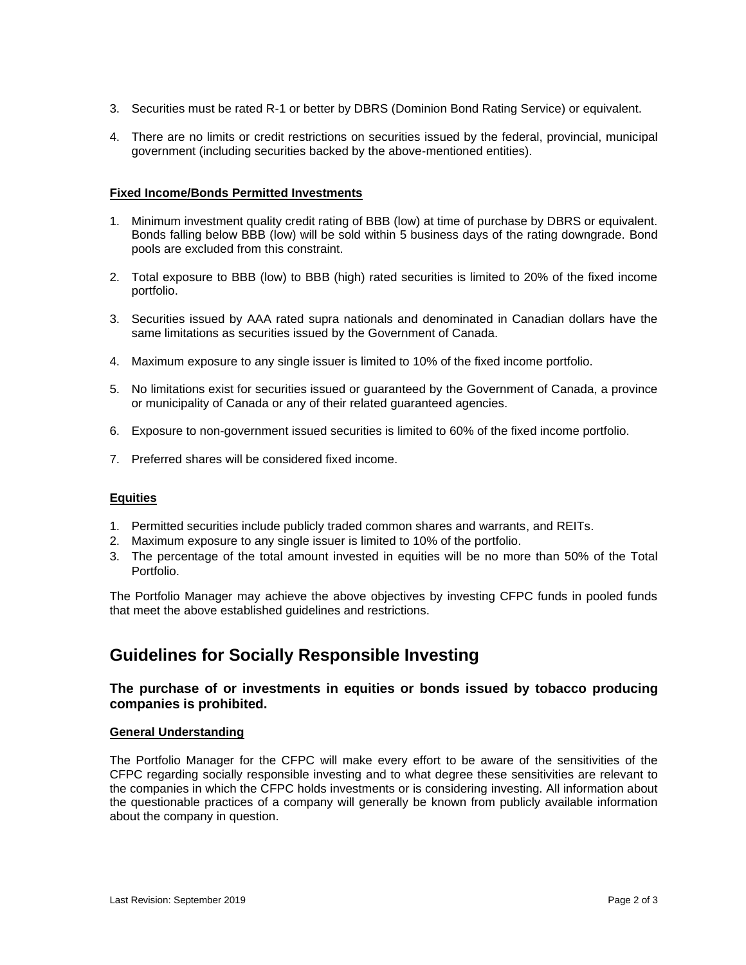- 3. Securities must be rated R-1 or better by DBRS (Dominion Bond Rating Service) or equivalent.
- 4. There are no limits or credit restrictions on securities issued by the federal, provincial, municipal government (including securities backed by the above-mentioned entities).

#### **Fixed Income/Bonds Permitted Investments**

- 1. Minimum investment quality credit rating of BBB (low) at time of purchase by DBRS or equivalent. Bonds falling below BBB (low) will be sold within 5 business days of the rating downgrade. Bond pools are excluded from this constraint.
- 2. Total exposure to BBB (low) to BBB (high) rated securities is limited to 20% of the fixed income portfolio.
- 3. Securities issued by AAA rated supra nationals and denominated in Canadian dollars have the same limitations as securities issued by the Government of Canada.
- 4. Maximum exposure to any single issuer is limited to 10% of the fixed income portfolio.
- 5. No limitations exist for securities issued or guaranteed by the Government of Canada, a province or municipality of Canada or any of their related guaranteed agencies.
- 6. Exposure to non-government issued securities is limited to 60% of the fixed income portfolio.
- 7. Preferred shares will be considered fixed income.

#### **Equities**

- 1. Permitted securities include publicly traded common shares and warrants, and REITs.
- 2. Maximum exposure to any single issuer is limited to 10% of the portfolio.
- 3. The percentage of the total amount invested in equities will be no more than 50% of the Total Portfolio.

The Portfolio Manager may achieve the above objectives by investing CFPC funds in pooled funds that meet the above established guidelines and restrictions.

## **Guidelines for Socially Responsible Investing**

### **The purchase of or investments in equities or bonds issued by tobacco producing companies is prohibited.**

#### **General Understanding**

The Portfolio Manager for the CFPC will make every effort to be aware of the sensitivities of the CFPC regarding socially responsible investing and to what degree these sensitivities are relevant to the companies in which the CFPC holds investments or is considering investing. All information about the questionable practices of a company will generally be known from publicly available information about the company in question.